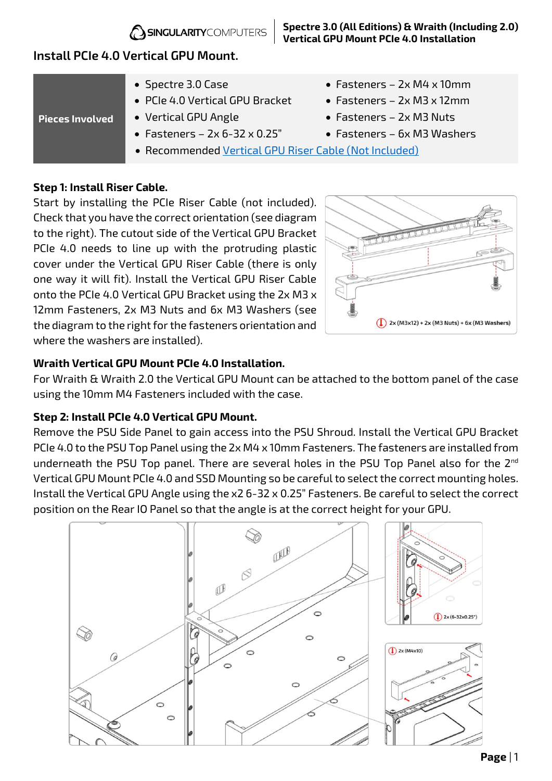

# **Install PCIe 4.0 Vertical GPU Mount.**

| Pieces Involved | • Spectre 3.0 Case                                    | • Fasteners $-$ 2x M4 x 10mm     |
|-----------------|-------------------------------------------------------|----------------------------------|
|                 | • PCIe 4.0 Vertical GPU Bracket                       | • Fasteners $-$ 2x M3 x 12mm     |
|                 | • Vertical GPU Angle                                  | $\bullet$ Fasteners - 2x M3 Nuts |
|                 | • Fasteners $-$ 2x 6-32 x 0.25"                       | • Fasteners - 6x M3 Washers      |
|                 | · Recommended Vertical GPU Riser Cable (Not Included) |                                  |

### **Step 1: Install Riser Cable.**

Start by installing the PCIe Riser Cable (not included). Check that you have the correct orientation (see diagram to the right). The cutout side of the Vertical GPU Bracket PCIe 4.0 needs to line up with the protruding plastic cover under the Vertical GPU Riser Cable (there is only one way it will fit). Install the Vertical GPU Riser Cable onto the PCIe 4.0 Vertical GPU Bracket using the 2x M3 x 12mm Fasteners, 2x M3 Nuts and 6x M3 Washers (see the diagram to the right for the fasteners orientation and where the washers are installed).



#### **Wraith Vertical GPU Mount PCIe 4.0 Installation.**

For Wraith & Wraith 2.0 the Vertical GPU Mount can be attached to the bottom panel of the case using the 10mm M4 Fasteners included with the case.

#### **Step 2: Install PCIe 4.0 Vertical GPU Mount.**

Remove the PSU Side Panel to gain access into the PSU Shroud. Install the Vertical GPU Bracket PCIe 4.0 to the PSU Top Panel using the 2x M4 x 10mm Fasteners. The fasteners are installed from underneath the PSU Top panel. There are several holes in the PSU Top Panel also for the 2<sup>nd</sup> Vertical GPU Mount PCIe 4.0 and SSD Mounting so be careful to select the correct mounting holes. Install the Vertical GPU Angle using the x2 6-32 x 0.25" Fasteners. Be careful to select the correct position on the Rear IO Panel so that the angle is at the correct height for your GPU.



**Spectre 3.0 (All Editions) & Wraith (Including 2.0) Vertical GPU Mount PCIe 4.0 Installation**